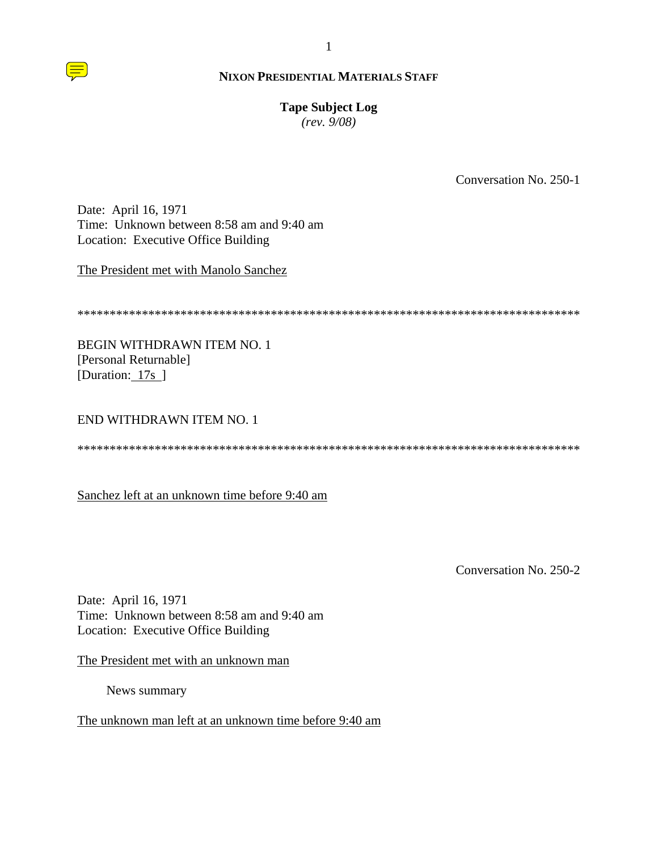

# **Tape Subject Log**

 $(rev. 9/08)$ 

Conversation No. 250-1

Date: April 16, 1971 Time: Unknown between 8:58 am and 9:40 am Location: Executive Office Building

The President met with Manolo Sanchez

**BEGIN WITHDRAWN ITEM NO. 1** [Personal Returnable] [Duration: 17s]

# **END WITHDRAWN ITEM NO. 1**

Sanchez left at an unknown time before 9:40 am

Conversation No. 250-2

Date: April 16, 1971 Time: Unknown between 8:58 am and 9:40 am Location: Executive Office Building

The President met with an unknown man

News summary

The unknown man left at an unknown time before 9:40 am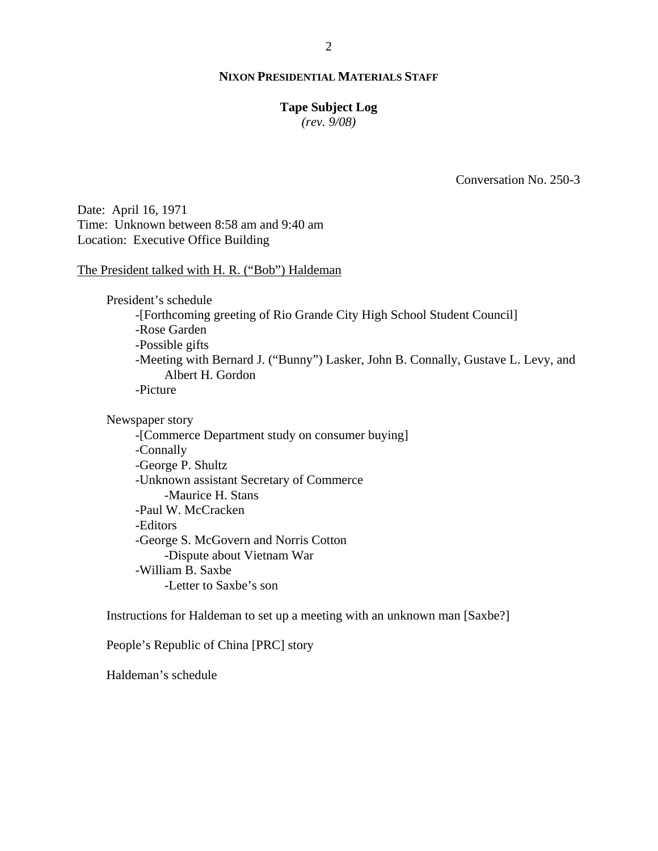# **Tape Subject Log**

*(rev. 9/08)*

Conversation No. 250-3

Date: April 16, 1971 Time: Unknown between 8:58 am and 9:40 am Location: Executive Office Building

The President talked with H. R. ("Bob") Haldeman

President's schedule -[Forthcoming greeting of Rio Grande City High School Student Council] -Rose Garden -Possible gifts -Meeting with Bernard J. ("Bunny") Lasker, John B. Connally, Gustave L. Levy, and Albert H. Gordon -Picture

Newspaper story

-[Commerce Department study on consumer buying] -Connally -George P. Shultz -Unknown assistant Secretary of Commerce -Maurice H. Stans -Paul W. McCracken -Editors -George S. McGovern and Norris Cotton -Dispute about Vietnam War -William B. Saxbe -Letter to Saxbe's son

Instructions for Haldeman to set up a meeting with an unknown man [Saxbe?]

People's Republic of China [PRC] story

Haldeman's schedule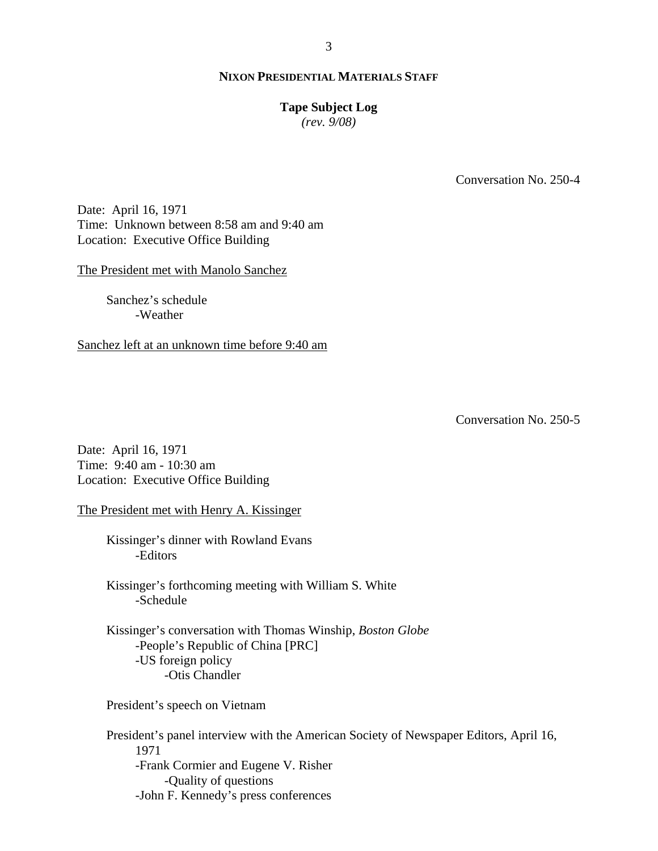## **Tape Subject Log**

*(rev. 9/08)*

Conversation No. 250-4

Date: April 16, 1971 Time: Unknown between 8:58 am and 9:40 am Location: Executive Office Building

The President met with Manolo Sanchez

Sanchez's schedule -Weather

Sanchez left at an unknown time before 9:40 am

Conversation No. 250-5

Date: April 16, 1971 Time: 9:40 am - 10:30 am Location: Executive Office Building

The President met with Henry A. Kissinger

Kissinger's dinner with Rowland Evans -Editors

Kissinger's forthcoming meeting with William S. White -Schedule

Kissinger's conversation with Thomas Winship, *Boston Globe* -People's Republic of China [PRC] -US foreign policy -Otis Chandler

President's speech on Vietnam

President's panel interview with the American Society of Newspaper Editors, April 16, 1971 -Frank Cormier and Eugene V. Risher -Quality of questions -John F. Kennedy's press conferences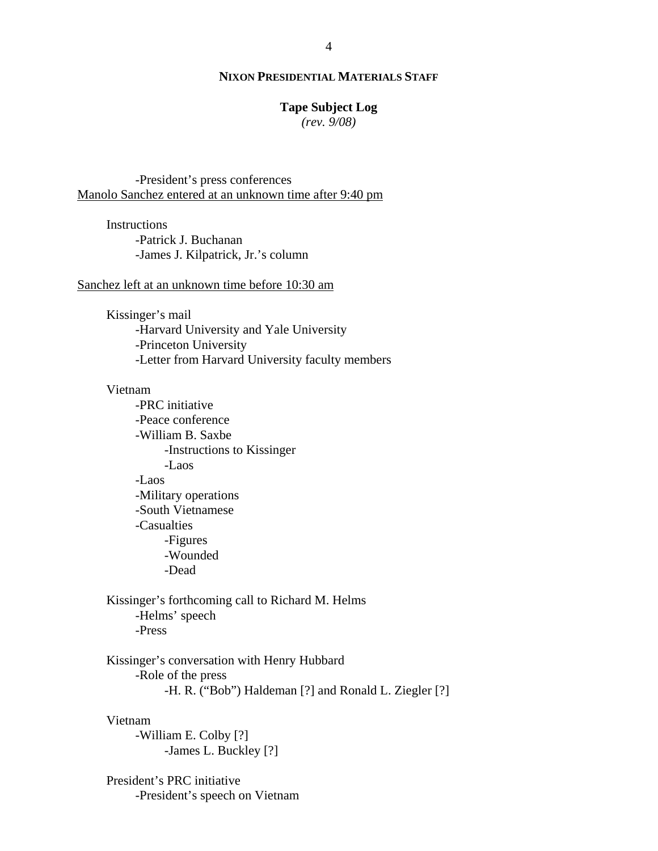# **Tape Subject Log**

*(rev. 9/08)*

-President's press conferences Manolo Sanchez entered at an unknown time after 9:40 pm

**Instructions** -Patrick J. Buchanan -James J. Kilpatrick, Jr.'s column

#### Sanchez left at an unknown time before 10:30 am

Kissinger's mail -Harvard University and Yale University -Princeton University -Letter from Harvard University faculty members

#### Vietnam

-PRC initiative -Peace conference -William B. Saxbe -Instructions to Kissinger -Laos -Laos -Military operations -South Vietnamese -Casualties -Figures -Wounded -Dead

Kissinger's forthcoming call to Richard M. Helms -Helms' speech -Press

Kissinger's conversation with Henry Hubbard -Role of the press -H. R. ("Bob") Haldeman [?] and Ronald L. Ziegler [?]

#### Vietnam

-William E. Colby [?] -James L. Buckley [?]

President's PRC initiative -President's speech on Vietnam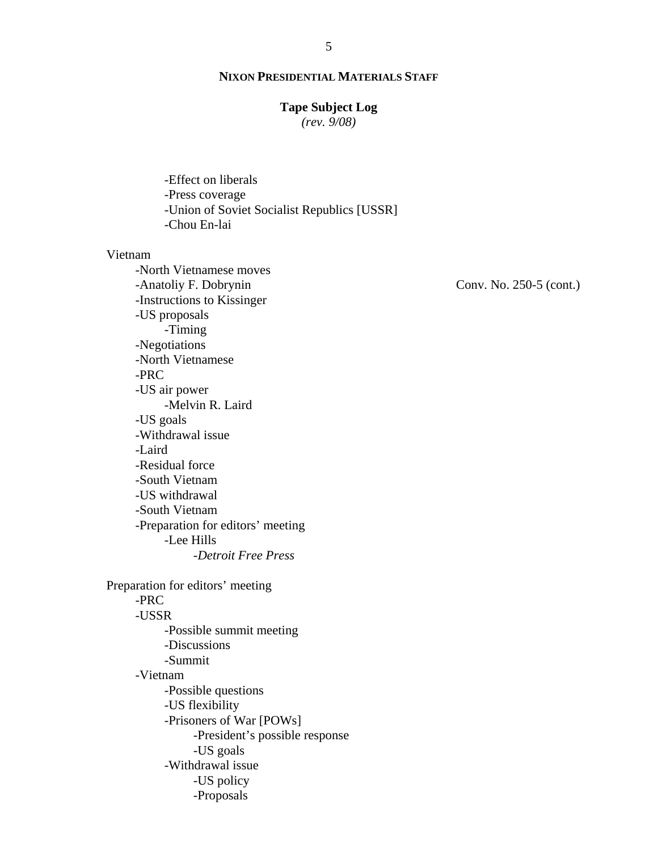## **Tape Subject Log**

*(rev. 9/08)*

-Effect on liberals -Press coverage -Union of Soviet Socialist Republics [USSR] -Chou En-lai

#### Vietnam

-North Vietnamese moves -Anatoliy F. Dobrynin -Instructions to Kissinger -US proposals -Timing -Negotiations -North Vietnamese -PRC -US air power -Melvin R. Laird -US goals -Withdrawal issue -Laird -Residual force -South Vietnam -US withdrawal -South Vietnam -Preparation for editors' meeting -Lee Hills -*Detroit Free Press* Preparation for editors' meeting

# -PRC

-USSR -Possible summit meeting -Discussions -Summit -Vietnam -Possible questions -US flexibility -Prisoners of War [POWs] -President's possible response -US goals -Withdrawal issue -US policy -Proposals

Conv. No. 250-5 (cont.)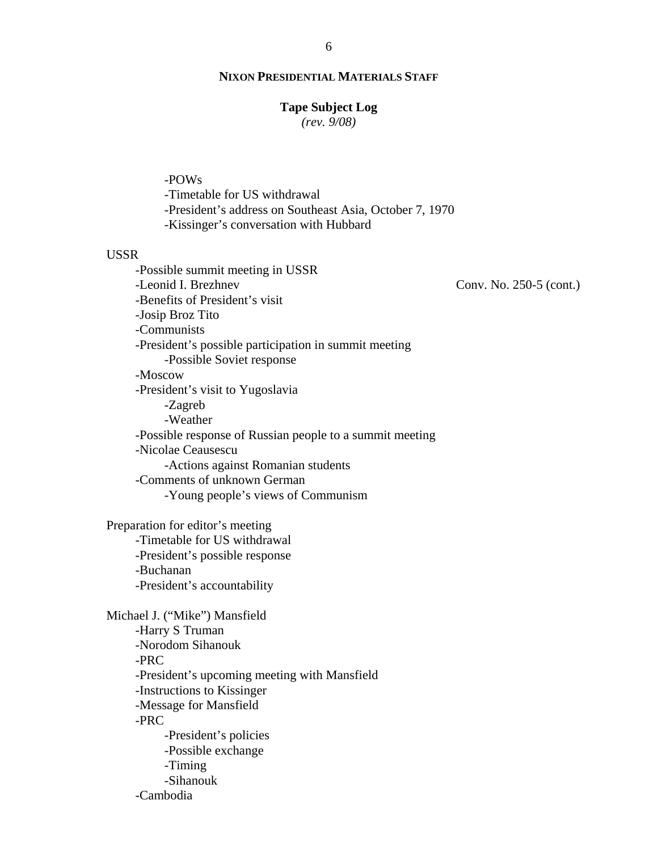#### **Tape Subject Log**

*(rev. 9/08)*

-POWs

-Timetable for US withdrawal

-President's address on Southeast Asia, October 7, 1970

-Kissinger's conversation with Hubbard

### USSR

-Possible summit meeting in USSR -Leonid I. Brezhnev -Benefits of President's visit -Josip Broz Tito -Communists -President's possible participation in summit meeting -Possible Soviet response -Moscow -President's visit to Yugoslavia -Zagreb -Weather -Possible response of Russian people to a summit meeting -Nicolae Ceausescu -Actions against Romanian students -Comments of unknown German -Young people's views of Communism

Preparation for editor's meeting -Timetable for US withdrawal -President's possible response -Buchanan -President's accountability

Michael J. ("Mike") Mansfield -Harry S Truman -Norodom Sihanouk -PRC -President's upcoming meeting with Mansfield -Instructions to Kissinger -Message for Mansfield -PRC -President's policies -Possible exchange -Timing -Sihanouk -Cambodia

Conv. No. 250-5 (cont.)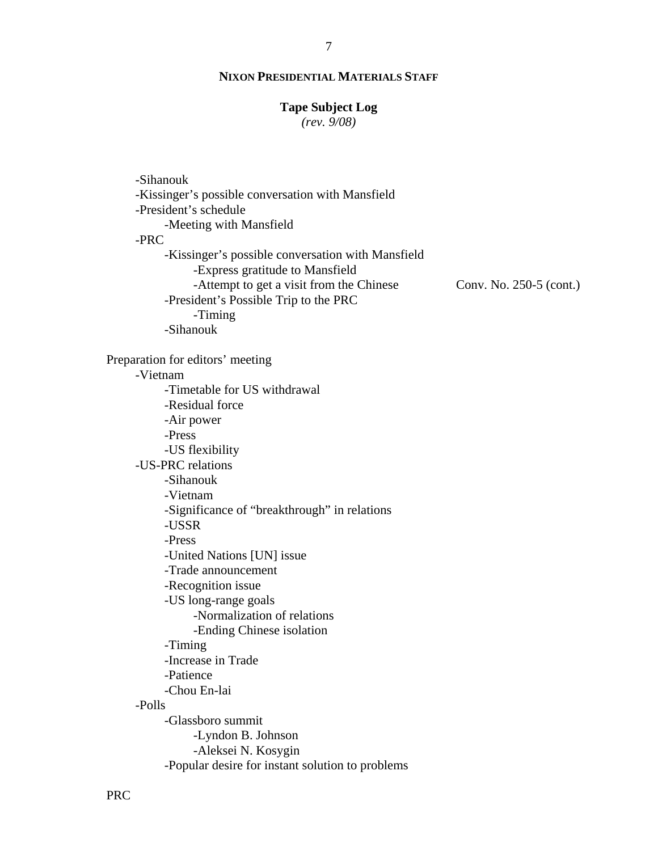#### **Tape Subject Log**

*(rev. 9/08)*

| -Sihanouk                                                                                                                                                                 |                         |
|---------------------------------------------------------------------------------------------------------------------------------------------------------------------------|-------------------------|
| -Kissinger's possible conversation with Mansfield                                                                                                                         |                         |
| -President's schedule                                                                                                                                                     |                         |
| -Meeting with Mansfield                                                                                                                                                   |                         |
| -PRC                                                                                                                                                                      |                         |
| -Kissinger's possible conversation with Mansfield<br>-Express gratitude to Mansfield<br>-Attempt to get a visit from the Chinese<br>-President's Possible Trip to the PRC | Conv. No. 250-5 (cont.) |
| -Timing                                                                                                                                                                   |                         |
| -Sihanouk                                                                                                                                                                 |                         |
| Preparation for editors' meeting                                                                                                                                          |                         |
| -Vietnam                                                                                                                                                                  |                         |
| -Timetable for US withdrawal                                                                                                                                              |                         |
| -Residual force                                                                                                                                                           |                         |
| -Air power                                                                                                                                                                |                         |
| -Press                                                                                                                                                                    |                         |
| -US flexibility                                                                                                                                                           |                         |
| -US-PRC relations                                                                                                                                                         |                         |
| -Sihanouk                                                                                                                                                                 |                         |
| -Vietnam                                                                                                                                                                  |                         |
| -Significance of "breakthrough" in relations<br>-USSR                                                                                                                     |                         |
| -Press                                                                                                                                                                    |                         |
| -United Nations [UN] issue                                                                                                                                                |                         |
| -Trade announcement                                                                                                                                                       |                         |
| -Recognition issue                                                                                                                                                        |                         |
| -US long-range goals                                                                                                                                                      |                         |
| -Normalization of relations                                                                                                                                               |                         |
| -Ending Chinese isolation                                                                                                                                                 |                         |
| -Timing                                                                                                                                                                   |                         |
| -Increase in Trade                                                                                                                                                        |                         |
| -Patience                                                                                                                                                                 |                         |
| -Chou En-lai                                                                                                                                                              |                         |
| -Polls                                                                                                                                                                    |                         |
| -Glassboro summit                                                                                                                                                         |                         |
| -Lyndon B. Johnson                                                                                                                                                        |                         |
| -Aleksei N. Kosygin                                                                                                                                                       |                         |
| -Popular desire for instant solution to problems                                                                                                                          |                         |
|                                                                                                                                                                           |                         |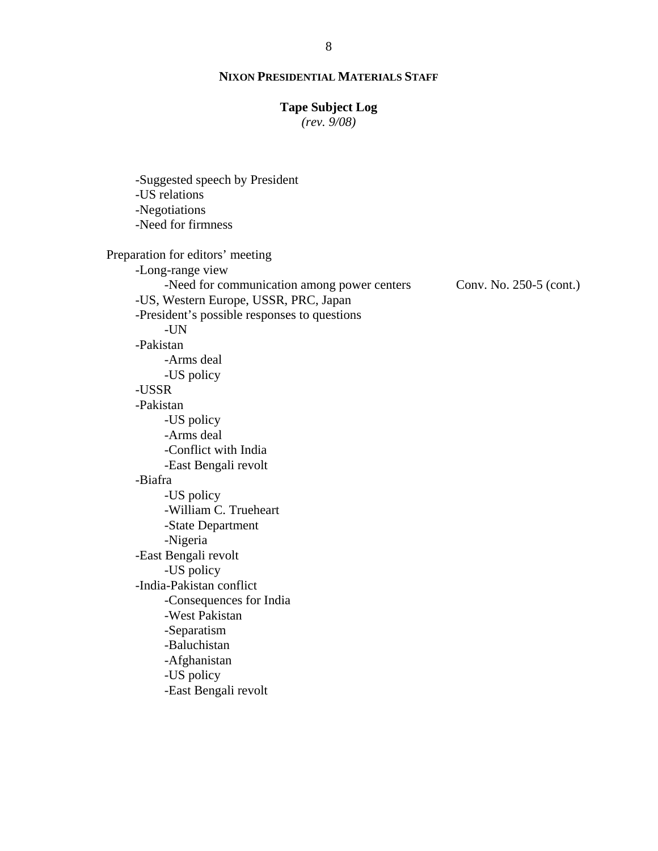# **Tape Subject Log**

*(rev. 9/08)*

Conv. No. 250-5 (cont.) -Suggested speech by President -US relations -Negotiations -Need for firmness Preparation for editors' meeting -Long-range view -Need for communication among power centers -US, Western Europe, USSR, PRC, Japan -President's possible responses to questions -UN -Pakistan -Arms deal -US policy -USSR -Pakistan -US policy -Arms deal -Conflict with India -East Bengali revolt -Biafra -US policy -William C. Trueheart -State Department -Nigeria -East Bengali revolt -US policy -India-Pakistan conflict -Consequences for India -West Pakistan -Separatism -Baluchistan -Afghanistan -US policy -East Bengali revolt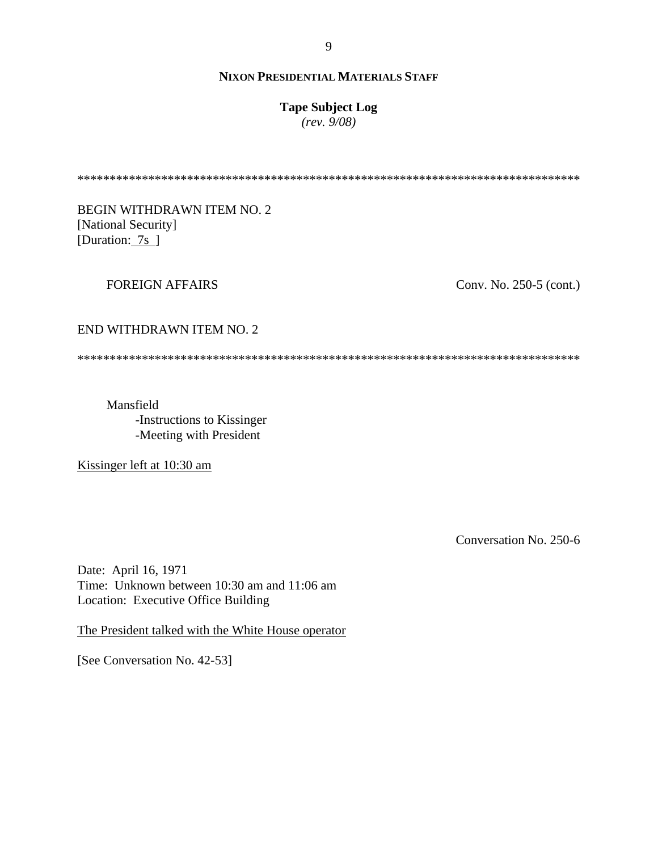# **Tape Subject Log**

 $(rev. 9/08)$ 

**BEGIN WITHDRAWN ITEM NO. 2** [National Security] [Duration:  $7s$ ]

## **FOREIGN AFFAIRS**

Conv. No. 250-5 (cont.)

#### END WITHDRAWN ITEM NO. 2

Mansfield -Instructions to Kissinger -Meeting with President

Kissinger left at 10:30 am

Conversation No. 250-6

Date: April 16, 1971 Time: Unknown between 10:30 am and 11:06 am Location: Executive Office Building

The President talked with the White House operator

[See Conversation No. 42-53]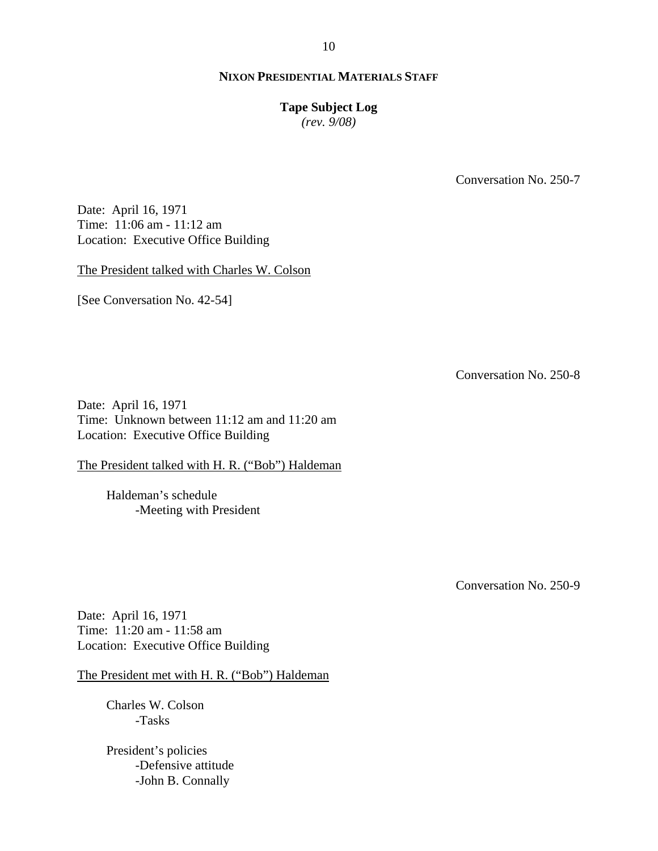# **Tape Subject Log**

*(rev. 9/08)*

Conversation No. 250-7

Date: April 16, 1971 Time: 11:06 am - 11:12 am Location: Executive Office Building

The President talked with Charles W. Colson

[See Conversation No. 42-54]

Conversation No. 250-8

Date: April 16, 1971 Time: Unknown between 11:12 am and 11:20 am Location: Executive Office Building

The President talked with H. R. ("Bob") Haldeman

Haldeman's schedule -Meeting with President

Conversation No. 250-9

Date: April 16, 1971 Time: 11:20 am - 11:58 am Location: Executive Office Building

The President met with H. R. ("Bob") Haldeman

Charles W. Colson -Tasks

President's policies -Defensive attitude -John B. Connally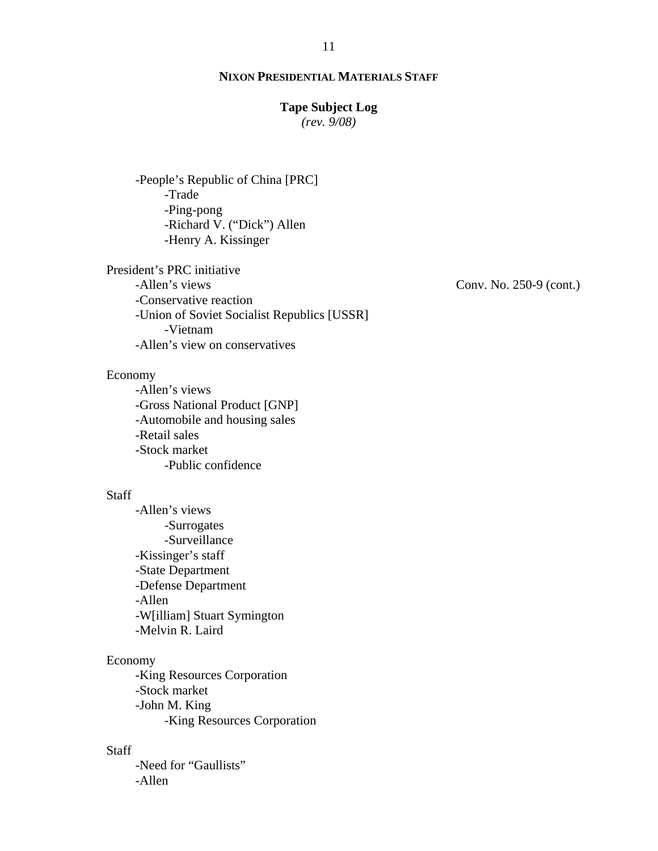# **Tape Subject Log**

*(rev. 9/08)*

-People's Republic of China [PRC] -Trade -Ping-pong -Richard V. ("Dick") Allen -Henry A. Kissinger

President's PRC initiative -Allen's views -Conservative reaction -Union of Soviet Socialist Republics [USSR] -Vietnam -Allen's view on conservatives

#### Economy

-Allen's views -Gross National Product [GNP] -Automobile and housing sales -Retail sales -Stock market -Public confidence

#### Staff

-Allen's views -Surrogates -Surveillance -Kissinger's staff -State Department -Defense Department -Allen -W[illiam] Stuart Symington -Melvin R. Laird

#### Economy

-King Resources Corporation -Stock market -John M. King -King Resources Corporation

## Staff

-Need for "Gaullists" -Allen

Conv. No. 250-9 (cont.)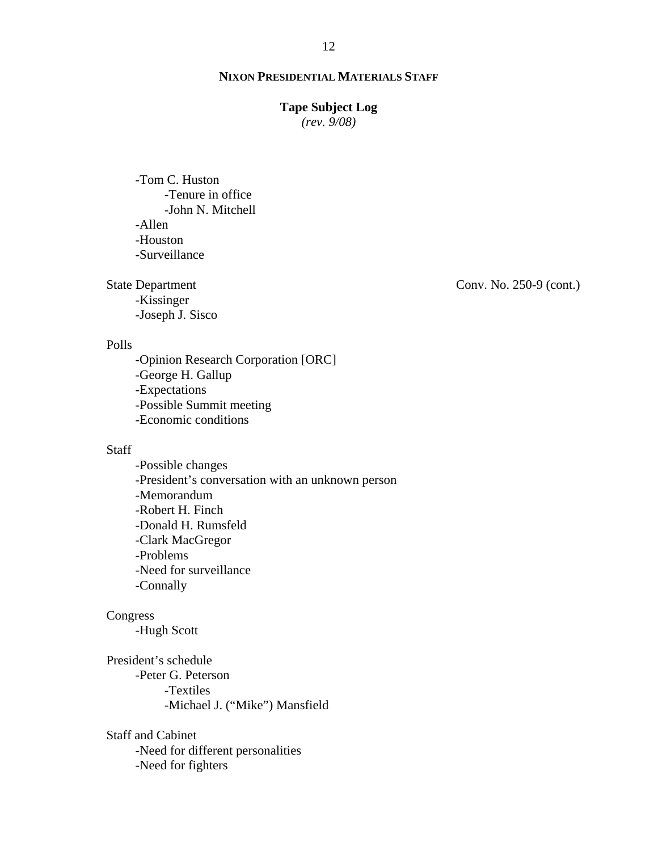#### **Tape Subject Log**

*(rev. 9/08)*

-Tom C. Huston -Tenure in office -John N. Mitchell -Allen -Houston -Surveillance

State Department

-Kissinger -Joseph J. Sisco

Polls

-Opinion Research Corporation [ORC] -George H. Gallup -Expectations -Possible Summit meeting -Economic conditions

# **Staff**

-Possible changes -President's conversation with an unknown person -Memorandum -Robert H. Finch -Donald H. Rumsfeld -Clark MacGregor -Problems -Need for surveillance -Connally

#### Congress

-Hugh Scott

President's schedule -Peter G. Peterson -Textiles -Michael J. ("Mike") Mansfield

Staff and Cabinet

-Need for different personalities

-Need for fighters

Conv. No. 250-9 (cont.)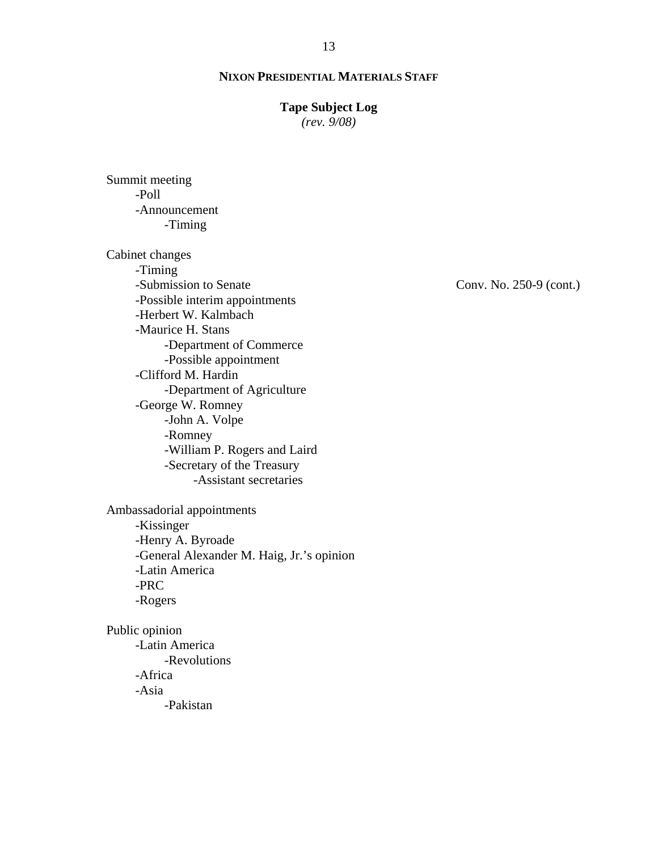# **Tape Subject Log**

*(rev. 9/08)*

Summit meeting -Poll -Announcement -Timing

Cabinet changes -Timing -Submission to Senate -Possible interim appointments -Herbert W. Kalmbach -Maurice H. Stans -Department of Commerce -Possible appointment -Clifford M. Hardin -Department of Agriculture -George W. Romney -John A. Volpe -Romney -William P. Rogers and Laird -Secretary of the Treasury -Assistant secretaries

Ambassadorial appointments -Kissinger -Henry A. Byroade -General Alexander M. Haig, Jr.'s opinion -Latin America -PRC -Rogers

Public opinion -Latin America -Revolutions -Africa -Asia -Pakistan

Conv. No. 250-9 (cont.)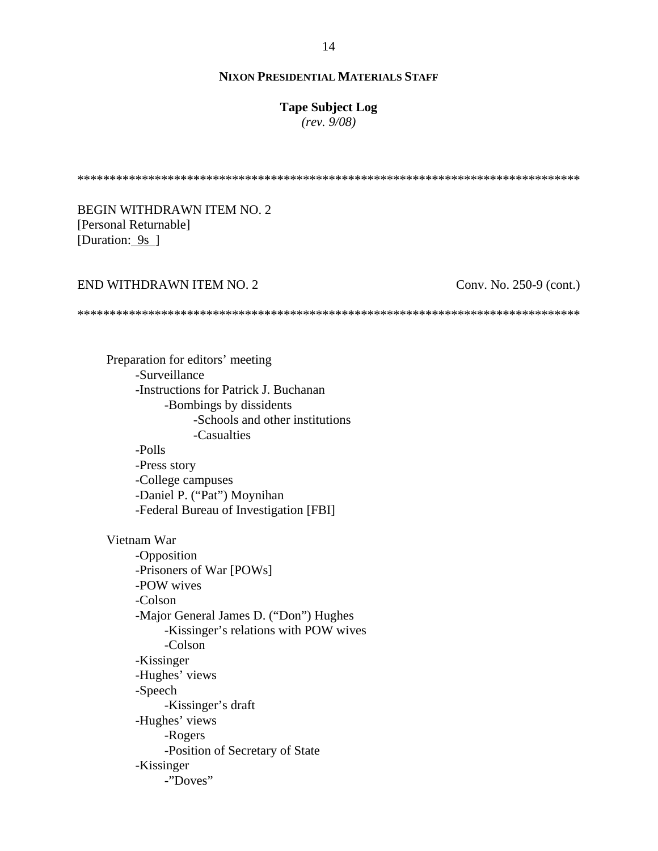# **Tape Subject Log**

*(rev. 9/08)*

\*\*\*\*\*\*\*\*\*\*\*\*\*\*\*\*\*\*\*\*\*\*\*\*\*\*\*\*\*\*\*\*\*\*\*\*\*\*\*\*\*\*\*\*\*\*\*\*\*\*\*\*\*\*\*\*\*\*\*\*\*\*\*\*\*\*\*\*\*\*\*\*\*\*\*\*\*\*

BEGIN WITHDRAWN ITEM NO. 2 [Personal Returnable] [Duration: 9s ]

#### END WITHDRAWN ITEM NO. 2

Conv. No. 250-9 (cont.)

\*\*\*\*\*\*\*\*\*\*\*\*\*\*\*\*\*\*\*\*\*\*\*\*\*\*\*\*\*\*\*\*\*\*\*\*\*\*\*\*\*\*\*\*\*\*\*\*\*\*\*\*\*\*\*\*\*\*\*\*\*\*\*\*\*\*\*\*\*\*\*\*\*\*\*\*\*\*

Preparation for editors' meeting -Surveillance -Instructions for Patrick J. Buchanan -Bombings by dissidents -Schools and other institutions -Casualties -Polls -Press story -College campuses -Daniel P. ("Pat") Moynihan -Federal Bureau of Investigation [FBI] Vietnam War -Opposition -Prisoners of War [POWs] -POW wives -Colson -Major General James D. ("Don") Hughes -Kissinger's relations with POW wives -Colson -Kissinger -Hughes' views -Speech -Kissinger's draft -Hughes' views -Rogers -Position of Secretary of State -Kissinger -"Doves"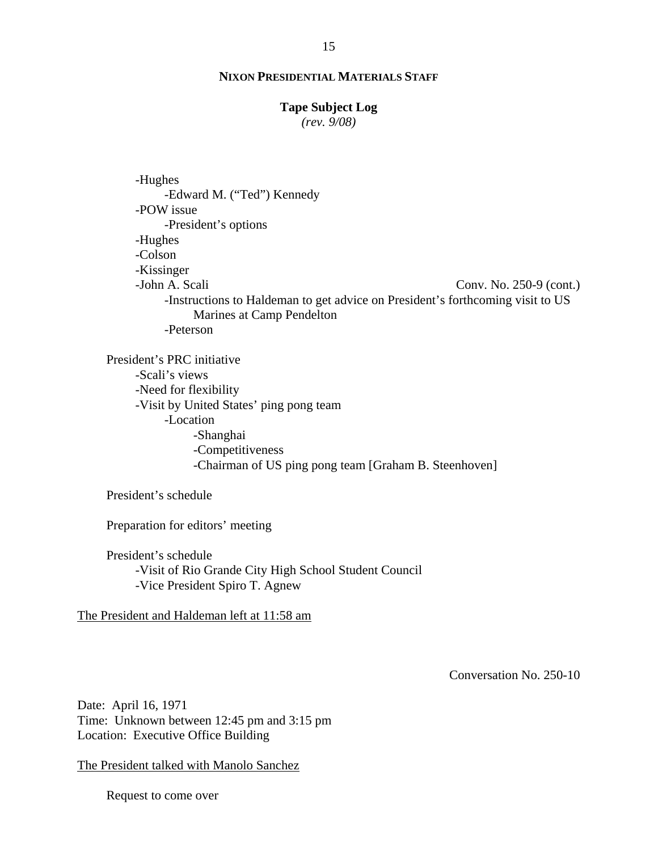#### **Tape Subject Log**

*(rev. 9/08)*

Conv. No. 250-9 (cont.) -Hughes -Edward M. ("Ted") Kennedy -POW issue -President's options -Hughes -Colson -Kissinger -John A. Scali -Instructions to Haldeman to get advice on President's forthcoming visit to US Marines at Camp Pendelton -Peterson

President's PRC initiative -Scali's views -Need for flexibility -Visit by United States' ping pong team -Location -Shanghai -Competitiveness -Chairman of US ping pong team [Graham B. Steenhoven]

President's schedule

Preparation for editors' meeting

President's schedule -Visit of Rio Grande City High School Student Council -Vice President Spiro T. Agnew

The President and Haldeman left at 11:58 am

Conversation No. 250-10

Date: April 16, 1971 Time: Unknown between 12:45 pm and 3:15 pm Location: Executive Office Building

The President talked with Manolo Sanchez

Request to come over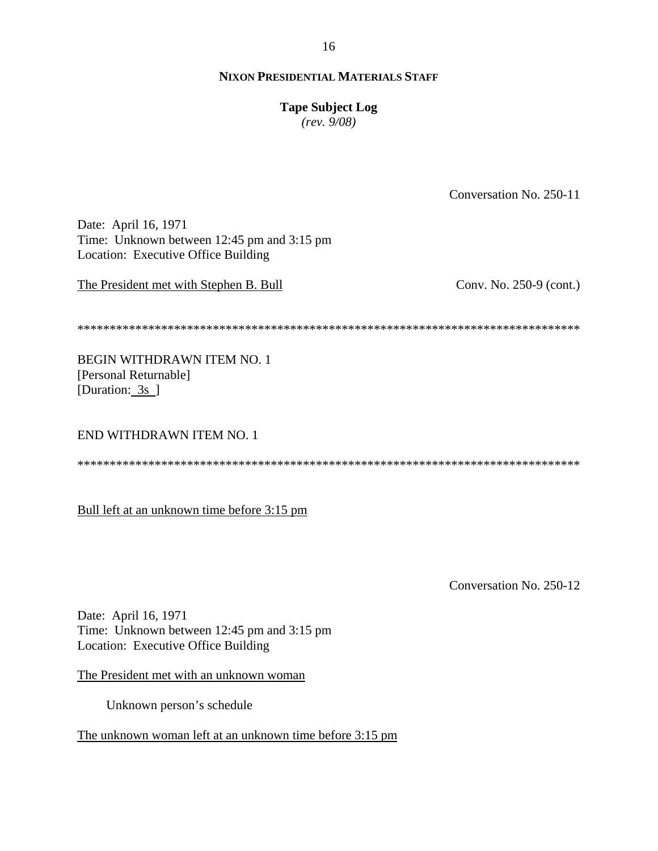16

### **NIXON PRESIDENTIAL MATERIALS STAFF**

# **Tape Subject Log**

 $(rev. 9/08)$ 

Conversation No. 250-11 Date: April 16, 1971 Time: Unknown between 12:45 pm and 3:15 pm Location: Executive Office Building The President met with Stephen B. Bull Conv. No. 250-9 (cont.) **BEGIN WITHDRAWN ITEM NO. 1** [Personal Returnable] [Duration: 3s ] END WITHDRAWN ITEM NO. 1 

Bull left at an unknown time before 3:15 pm

Conversation No. 250-12

Date: April 16, 1971 Time: Unknown between 12:45 pm and 3:15 pm Location: Executive Office Building

The President met with an unknown woman

Unknown person's schedule

The unknown woman left at an unknown time before 3:15 pm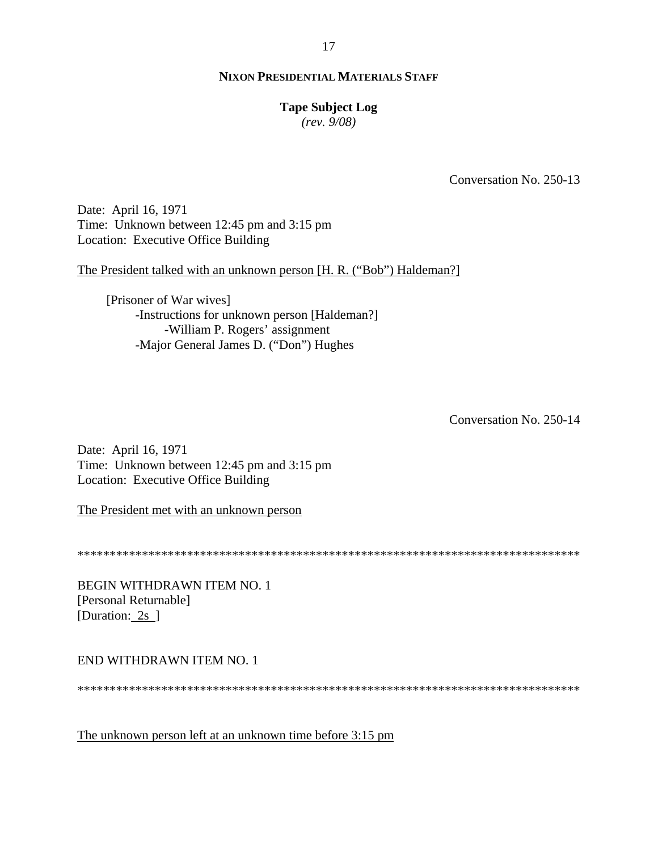# **Tape Subject Log**

 $(rev. 9/08)$ 

Conversation No. 250-13

Date: April 16, 1971 Time: Unknown between 12:45 pm and 3:15 pm Location: Executive Office Building

The President talked with an unknown person [H. R. ("Bob") Haldeman?]

[Prisoner of War wives] -Instructions for unknown person [Haldeman?] -William P. Rogers' assignment -Major General James D. ("Don") Hughes

Conversation No. 250-14

Date: April 16, 1971 Time: Unknown between 12:45 pm and 3:15 pm Location: Executive Office Building

The President met with an unknown person

BEGIN WITHDRAWN ITEM NO. 1 [Personal Returnable] [Duration: 2s ]

END WITHDRAWN ITEM NO. 1

The unknown person left at an unknown time before 3:15 pm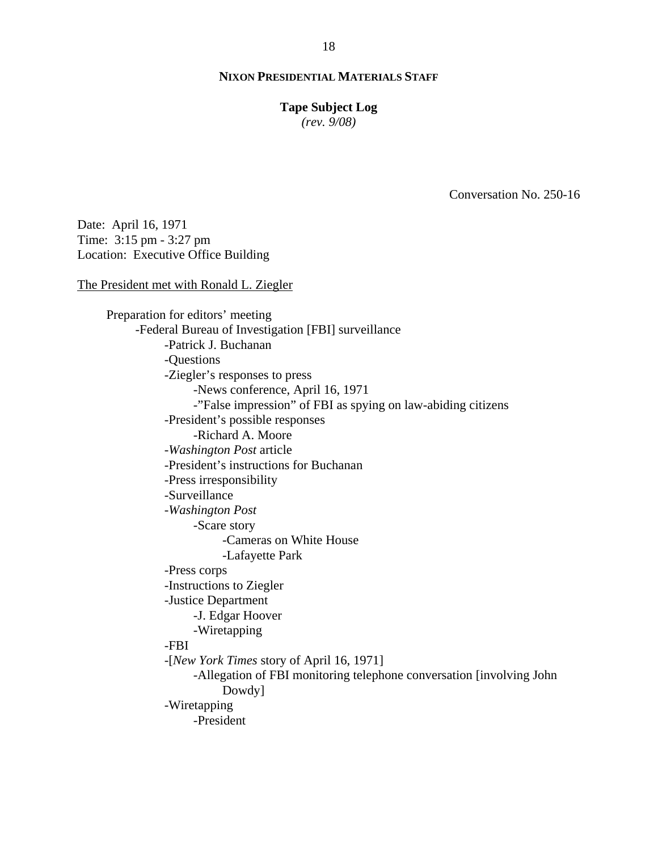# **Tape Subject Log**

*(rev. 9/08)*

Conversation No. 250-16

Date: April 16, 1971 Time: 3:15 pm - 3:27 pm Location: Executive Office Building

The President met with Ronald L. Ziegler

Preparation for editors' meeting -Federal Bureau of Investigation [FBI] surveillance -Patrick J. Buchanan -Questions -Ziegler's responses to press -News conference, April 16, 1971 -"False impression" of FBI as spying on law-abiding citizens -President's possible responses -Richard A. Moore -*Washington Post* article -President's instructions for Buchanan -Press irresponsibility -Surveillance -*Washington Post* -Scare story -Cameras on White House -Lafayette Park -Press corps -Instructions to Ziegler -Justice Department -J. Edgar Hoover -Wiretapping -FBI -[*New York Times* story of April 16, 1971] -Allegation of FBI monitoring telephone conversation [involving John Dowdy] -Wiretapping -President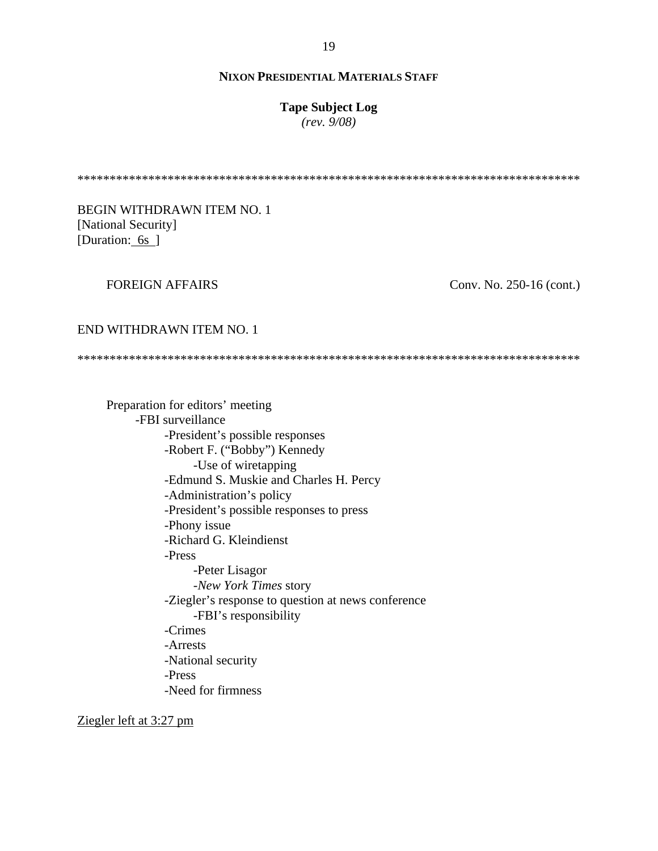# **Tape Subject Log**

*(rev. 9/08)*

\*\*\*\*\*\*\*\*\*\*\*\*\*\*\*\*\*\*\*\*\*\*\*\*\*\*\*\*\*\*\*\*\*\*\*\*\*\*\*\*\*\*\*\*\*\*\*\*\*\*\*\*\*\*\*\*\*\*\*\*\*\*\*\*\*\*\*\*\*\*\*\*\*\*\*\*\*\*

BEGIN WITHDRAWN ITEM NO. 1 [National Security] [Duration: 6s]

# FOREIGN AFFAIRS

Conv. No. 250-16 (cont.)

#### END WITHDRAWN ITEM NO. 1

\*\*\*\*\*\*\*\*\*\*\*\*\*\*\*\*\*\*\*\*\*\*\*\*\*\*\*\*\*\*\*\*\*\*\*\*\*\*\*\*\*\*\*\*\*\*\*\*\*\*\*\*\*\*\*\*\*\*\*\*\*\*\*\*\*\*\*\*\*\*\*\*\*\*\*\*\*\*

Preparation for editors' meeting -FBI surveillance -President's possible responses -Robert F. ("Bobby") Kennedy -Use of wiretapping -Edmund S. Muskie and Charles H. Percy -Administration's policy -President's possible responses to press -Phony issue -Richard G. Kleindienst -Press -Peter Lisagor -*New York Times* story -Ziegler's response to question at news conference -FBI's responsibility -Crimes -Arrests -National security -Press -Need for firmness

Ziegler left at 3:27 pm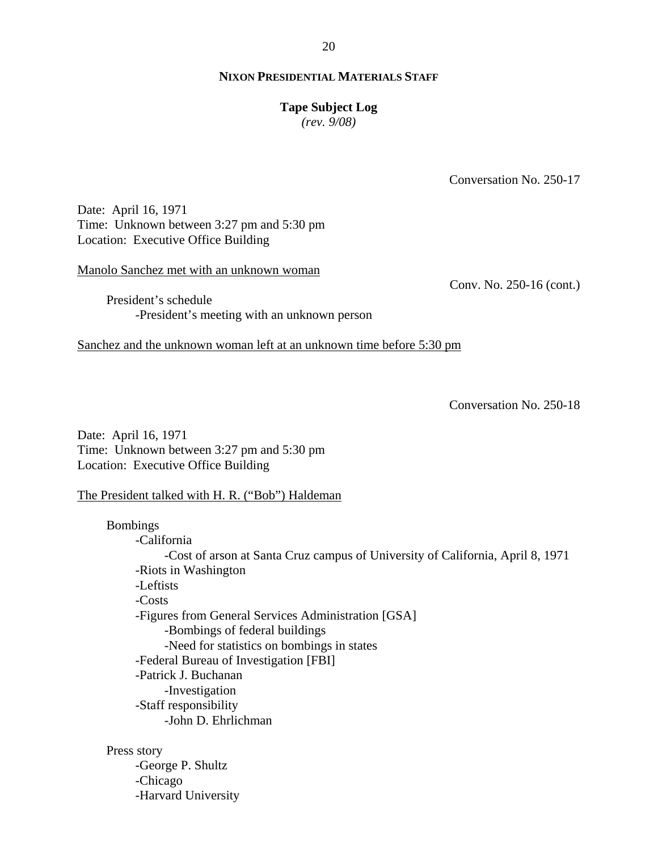#### **Tape Subject Log**

*(rev. 9/08)*

Conversation No. 250-17

Date: April 16, 1971 Time: Unknown between 3:27 pm and 5:30 pm Location: Executive Office Building

Manolo Sanchez met with an unknown woman

Conv. No. 250-16 (cont.)

President's schedule -President's meeting with an unknown person

Sanchez and the unknown woman left at an unknown time before 5:30 pm

Conversation No. 250-18

Date: April 16, 1971 Time: Unknown between 3:27 pm and 5:30 pm Location: Executive Office Building

The President talked with H. R. ("Bob") Haldeman

Bombings -California -Cost of arson at Santa Cruz campus of University of California, April 8, 1971 -Riots in Washington -Leftists -Costs -Figures from General Services Administration [GSA] -Bombings of federal buildings -Need for statistics on bombings in states -Federal Bureau of Investigation [FBI] -Patrick J. Buchanan -Investigation -Staff responsibility -John D. Ehrlichman

Press story

-George P. Shultz -Chicago -Harvard University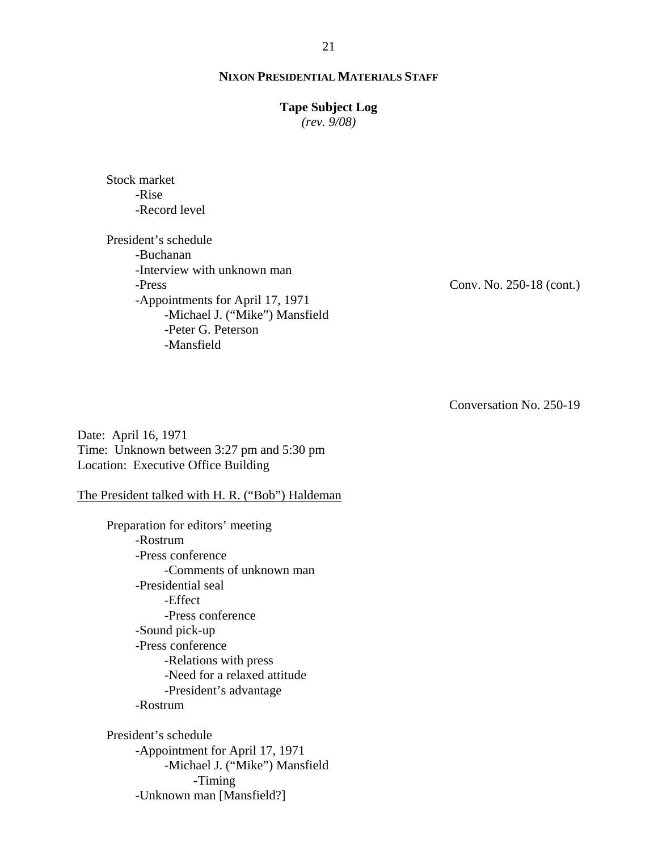# **Tape Subject Log**

*(rev. 9/08)*

Stock market -Rise -Record level

President's schedule -Buchanan -Interview with unknown man -Press -Appointments for April 17, 1971 -Michael J. ("Mike") Mansfield -Peter G. Peterson -Mansfield

Conv. No. 250-18 (cont.)

Conversation No. 250-19

Date: April 16, 1971 Time: Unknown between 3:27 pm and 5:30 pm Location: Executive Office Building

The President talked with H. R. ("Bob") Haldeman

Preparation for editors' meeting -Rostrum -Press conference -Comments of unknown man -Presidential seal -Effect -Press conference -Sound pick-up -Press conference -Relations with press -Need for a relaxed attitude -President's advantage -Rostrum

President's schedule -Appointment for April 17, 1971 -Michael J. ("Mike") Mansfield -Timing -Unknown man [Mansfield?]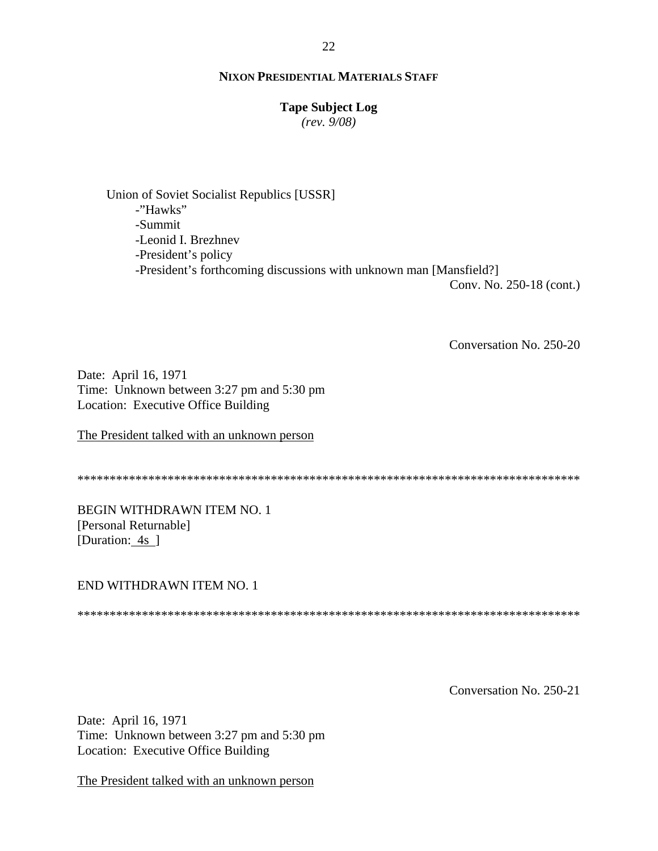### **Tape Subject Log**

*(rev. 9/08)*

Union of Soviet Socialist Republics [USSR] -"Hawks" -Summit -Leonid I. Brezhnev -President's policy -President's forthcoming discussions with unknown man [Mansfield?]

Conv. No. 250-18 (cont.)

Conversation No. 250-20

Date: April 16, 1971 Time: Unknown between 3:27 pm and 5:30 pm Location: Executive Office Building

The President talked with an unknown person

\*\*\*\*\*\*\*\*\*\*\*\*\*\*\*\*\*\*\*\*\*\*\*\*\*\*\*\*\*\*\*\*\*\*\*\*\*\*\*\*\*\*\*\*\*\*\*\*\*\*\*\*\*\*\*\*\*\*\*\*\*\*\*\*\*\*\*\*\*\*\*\*\*\*\*\*\*\*

BEGIN WITHDRAWN ITEM NO. 1 [Personal Returnable] [Duration: 4s ]

#### END WITHDRAWN ITEM NO. 1

\*\*\*\*\*\*\*\*\*\*\*\*\*\*\*\*\*\*\*\*\*\*\*\*\*\*\*\*\*\*\*\*\*\*\*\*\*\*\*\*\*\*\*\*\*\*\*\*\*\*\*\*\*\*\*\*\*\*\*\*\*\*\*\*\*\*\*\*\*\*\*\*\*\*\*\*\*\*

Conversation No. 250-21

Date: April 16, 1971 Time: Unknown between 3:27 pm and 5:30 pm Location: Executive Office Building

The President talked with an unknown person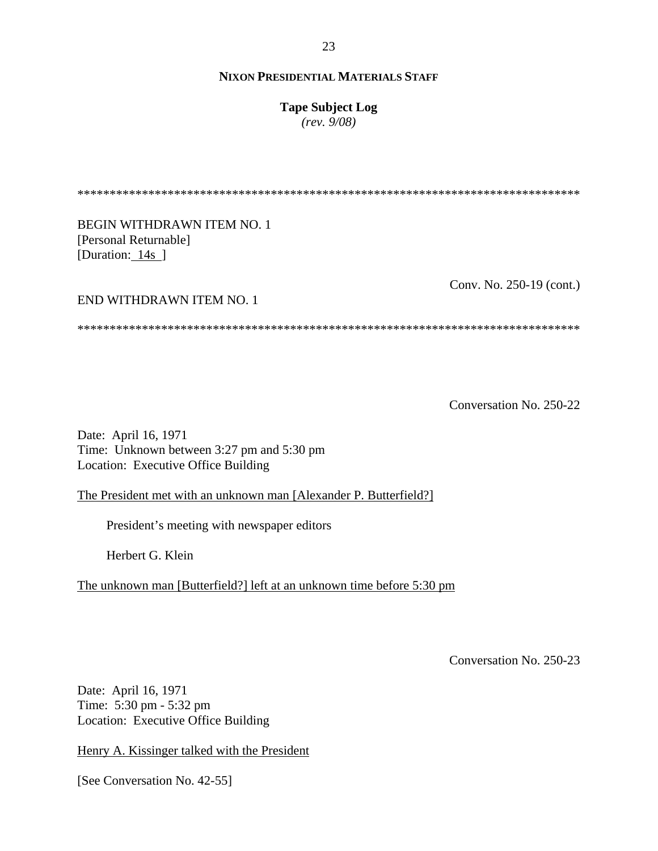**Tape Subject Log**

*(rev. 9/08)*

Conv. No. 250-19 (cont.) \*\*\*\*\*\*\*\*\*\*\*\*\*\*\*\*\*\*\*\*\*\*\*\*\*\*\*\*\*\*\*\*\*\*\*\*\*\*\*\*\*\*\*\*\*\*\*\*\*\*\*\*\*\*\*\*\*\*\*\*\*\*\*\*\*\*\*\*\*\*\*\*\*\*\*\*\*\* BEGIN WITHDRAWN ITEM NO. 1 [Personal Returnable] [Duration: 14s ] END WITHDRAWN ITEM NO. 1 \*\*\*\*\*\*\*\*\*\*\*\*\*\*\*\*\*\*\*\*\*\*\*\*\*\*\*\*\*\*\*\*\*\*\*\*\*\*\*\*\*\*\*\*\*\*\*\*\*\*\*\*\*\*\*\*\*\*\*\*\*\*\*\*\*\*\*\*\*\*\*\*\*\*\*\*\*\*

Conversation No. 250-22

Date: April 16, 1971 Time: Unknown between 3:27 pm and 5:30 pm Location: Executive Office Building

The President met with an unknown man [Alexander P. Butterfield?]

President's meeting with newspaper editors

Herbert G. Klein

The unknown man [Butterfield?] left at an unknown time before 5:30 pm

Conversation No. 250-23

Date: April 16, 1971 Time: 5:30 pm - 5:32 pm Location: Executive Office Building

Henry A. Kissinger talked with the President

[See Conversation No. 42-55]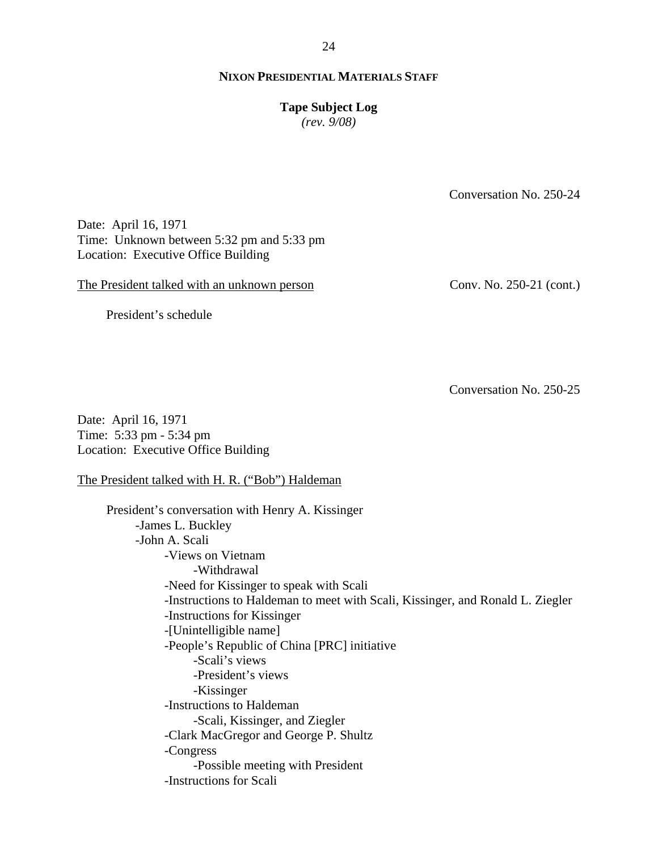#### 24

## **NIXON PRESIDENTIAL MATERIALS STAFF**

#### **Tape Subject Log**

*(rev. 9/08)*

Conversation No. 250-24

Date: April 16, 1971 Time: Unknown between 5:32 pm and 5:33 pm Location: Executive Office Building

The President talked with an unknown person

Conv. No. 250-21 (cont.)

President's schedule

Conversation No. 250-25

Date: April 16, 1971 Time: 5:33 pm - 5:34 pm Location: Executive Office Building

The President talked with H. R. ("Bob") Haldeman

President's conversation with Henry A. Kissinger -James L. Buckley -John A. Scali -Views on Vietnam -Withdrawal -Need for Kissinger to speak with Scali -Instructions to Haldeman to meet with Scali, Kissinger, and Ronald L. Ziegler -Instructions for Kissinger -[Unintelligible name] -People's Republic of China [PRC] initiative -Scali's views -President's views -Kissinger -Instructions to Haldeman -Scali, Kissinger, and Ziegler -Clark MacGregor and George P. Shultz -Congress -Possible meeting with President -Instructions for Scali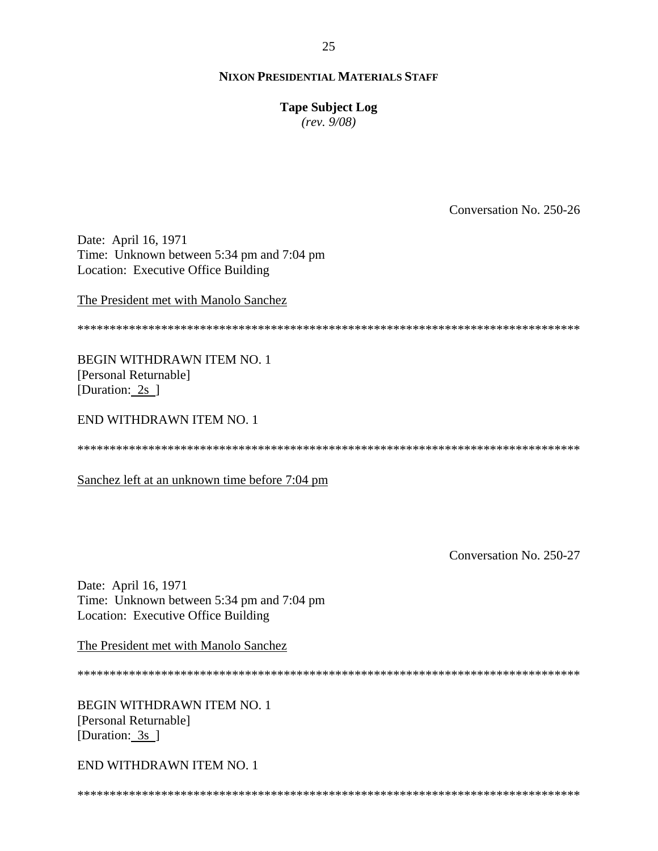# **Tape Subject Log**

 $(rev. 9/08)$ 

Conversation No. 250-26

Date: April 16, 1971 Time: Unknown between 5:34 pm and 7:04 pm Location: Executive Office Building

The President met with Manolo Sanchez

**BEGIN WITHDRAWN ITEM NO. 1** [Personal Returnable] [Duration: 2s ]

END WITHDRAWN ITEM NO. 1

Sanchez left at an unknown time before 7:04 pm

Conversation No. 250-27

Date: April 16, 1971 Time: Unknown between 5:34 pm and 7:04 pm Location: Executive Office Building

The President met with Manolo Sanchez

**BEGIN WITHDRAWN ITEM NO. 1** [Personal Returnable] [Duration:  $3s$ ]

END WITHDRAWN ITEM NO. 1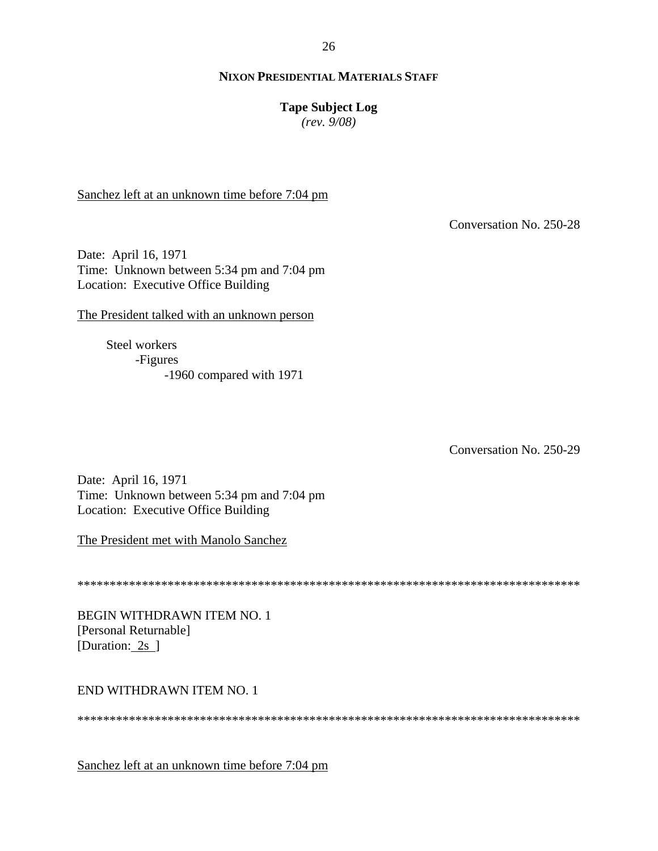#### 26

#### **NIXON PRESIDENTIAL MATERIALS STAFF**

## **Tape Subject Log**

*(rev. 9/08)*

Sanchez left at an unknown time before 7:04 pm

Conversation No. 250-28

Date: April 16, 1971 Time: Unknown between 5:34 pm and 7:04 pm Location: Executive Office Building

The President talked with an unknown person

Steel workers -Figures -1960 compared with 1971

Conversation No. 250-29

Date: April 16, 1971 Time: Unknown between 5:34 pm and 7:04 pm Location: Executive Office Building

The President met with Manolo Sanchez

\*\*\*\*\*\*\*\*\*\*\*\*\*\*\*\*\*\*\*\*\*\*\*\*\*\*\*\*\*\*\*\*\*\*\*\*\*\*\*\*\*\*\*\*\*\*\*\*\*\*\*\*\*\*\*\*\*\*\*\*\*\*\*\*\*\*\*\*\*\*\*\*\*\*\*\*\*\*

BEGIN WITHDRAWN ITEM NO. 1 [Personal Returnable] [Duration: 2s ]

#### END WITHDRAWN ITEM NO. 1

\*\*\*\*\*\*\*\*\*\*\*\*\*\*\*\*\*\*\*\*\*\*\*\*\*\*\*\*\*\*\*\*\*\*\*\*\*\*\*\*\*\*\*\*\*\*\*\*\*\*\*\*\*\*\*\*\*\*\*\*\*\*\*\*\*\*\*\*\*\*\*\*\*\*\*\*\*\*

Sanchez left at an unknown time before 7:04 pm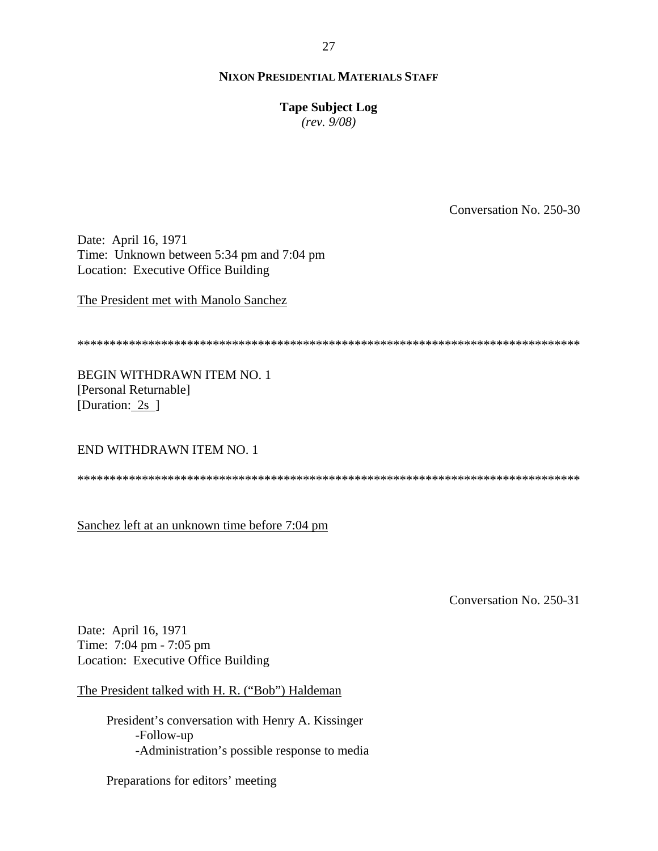# **Tape Subject Log**

 $(rev. 9/08)$ 

Conversation No. 250-30

Date: April 16, 1971 Time: Unknown between 5:34 pm and 7:04 pm Location: Executive Office Building

The President met with Manolo Sanchez

**BEGIN WITHDRAWN ITEM NO. 1** [Personal Returnable] [Duration: 2s ]

END WITHDRAWN ITEM NO. 1

Sanchez left at an unknown time before 7:04 pm

Conversation No. 250-31

Date: April 16, 1971 Time: 7:04 pm - 7:05 pm Location: Executive Office Building

The President talked with H. R. ("Bob") Haldeman

President's conversation with Henry A. Kissinger -Follow-up -Administration's possible response to media

Preparations for editors' meeting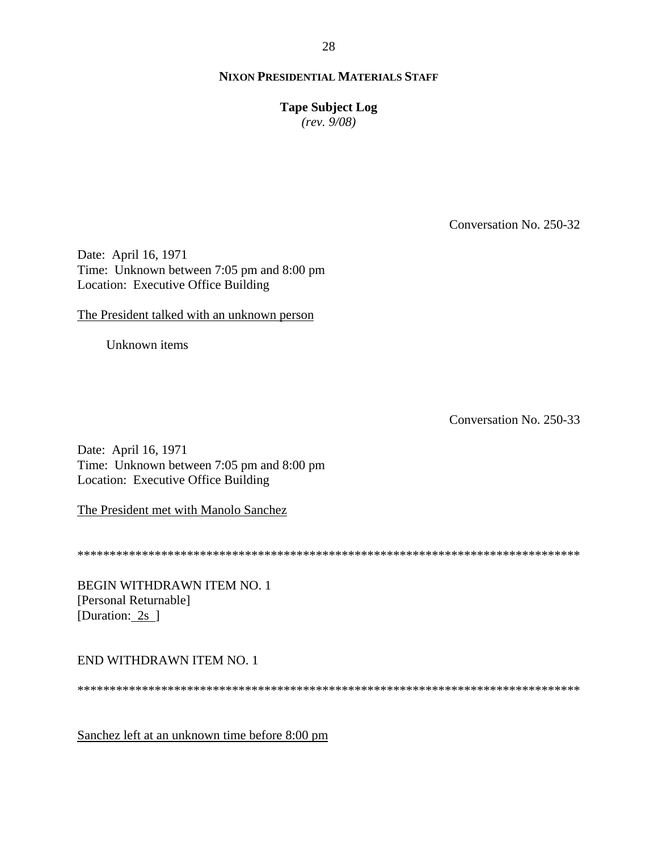**Tape Subject Log** 

 $(rev. 9/08)$ 

Conversation No. 250-32

Date: April 16, 1971 Time: Unknown between 7:05 pm and 8:00 pm Location: Executive Office Building

The President talked with an unknown person

Unknown items

Conversation No. 250-33

Date: April 16, 1971 Time: Unknown between 7:05 pm and 8:00 pm Location: Executive Office Building

The President met with Manolo Sanchez

BEGIN WITHDRAWN ITEM NO. 1 [Personal Returnable] [Duration: 2s ]

END WITHDRAWN ITEM NO. 1

Sanchez left at an unknown time before 8:00 pm